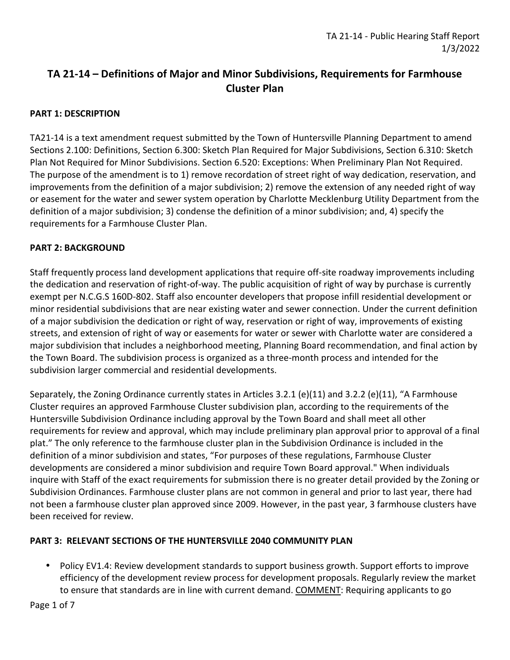# **TA 21-14 – Definitions of Major and Minor Subdivisions, Requirements for Farmhouse Cluster Plan**

## **PART 1: DESCRIPTION**

TA21-14 is a text amendment request submitted by the Town of Huntersville Planning Department to amend Sections 2.100: Definitions, Section 6.300: Sketch Plan Required for Major Subdivisions, Section 6.310: Sketch Plan Not Required for Minor Subdivisions. Section 6.520: Exceptions: When Preliminary Plan Not Required. The purpose of the amendment is to 1) remove recordation of street right of way dedication, reservation, and improvements from the definition of a major subdivision; 2) remove the extension of any needed right of way or easement for the water and sewer system operation by Charlotte Mecklenburg Utility Department from the definition of a major subdivision; 3) condense the definition of a minor subdivision; and, 4) specify the requirements for a Farmhouse Cluster Plan.

## **PART 2: BACKGROUND**

Staff frequently process land development applications that require off-site roadway improvements including the dedication and reservation of right-of-way. The public acquisition of right of way by purchase is currently exempt per N.C.G.S 160D-802. Staff also encounter developers that propose infill residential development or minor residential subdivisions that are near existing water and sewer connection. Under the current definition of a major subdivision the dedication or right of way, reservation or right of way, improvements of existing streets, and extension of right of way or easements for water or sewer with Charlotte water are considered a major subdivision that includes a neighborhood meeting, Planning Board recommendation, and final action by the Town Board. The subdivision process is organized as a three-month process and intended for the subdivision larger commercial and residential developments.

Separately, the Zoning Ordinance currently states in Articles 3.2.1 (e)(11) and 3.2.2 (e)(11), "A Farmhouse Cluster requires an approved Farmhouse Cluster subdivision plan, according to the requirements of the Huntersville Subdivision Ordinance including approval by the Town Board and shall meet all other requirements for review and approval, which may include preliminary plan approval prior to approval of a final plat." The only reference to the farmhouse cluster plan in the Subdivision Ordinance is included in the definition of a minor subdivision and states, "For purposes of these regulations, Farmhouse Cluster developments are considered a minor subdivision and require Town Board approval." When individuals inquire with Staff of the exact requirements for submission there is no greater detail provided by the Zoning or Subdivision Ordinances. Farmhouse cluster plans are not common in general and prior to last year, there had not been a farmhouse cluster plan approved since 2009. However, in the past year, 3 farmhouse clusters have been received for review.

## **PART 3: RELEVANT SECTIONS OF THE HUNTERSVILLE 2040 COMMUNITY PLAN**

• Policy EV1.4: Review development standards to support business growth. Support efforts to improve efficiency of the development review process for development proposals. Regularly review the market to ensure that standards are in line with current demand. COMMENT: Requiring applicants to go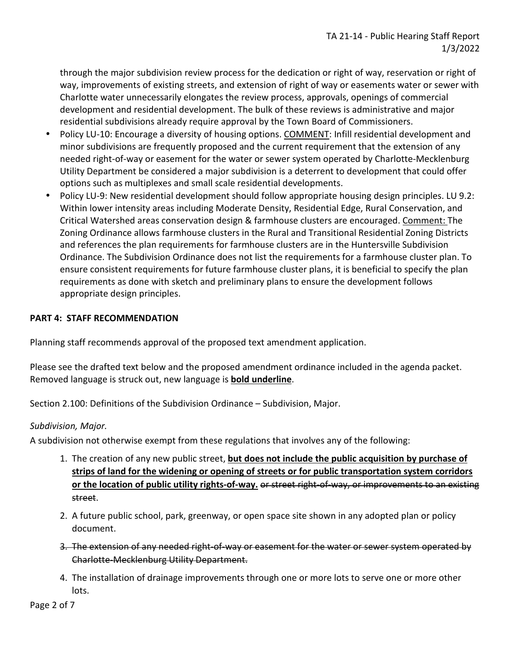through the major subdivision review process for the dedication or right of way, reservation or right of way, improvements of existing streets, and extension of right of way or easements water or sewer with Charlotte water unnecessarily elongates the review process, approvals, openings of commercial development and residential development. The bulk of these reviews is administrative and major residential subdivisions already require approval by the Town Board of Commissioners.

- Policy LU-10: Encourage a diversity of housing options. COMMENT: Infill residential development and minor subdivisions are frequently proposed and the current requirement that the extension of any needed right-of-way or easement for the water or sewer system operated by Charlotte-Mecklenburg Utility Department be considered a major subdivision is a deterrent to development that could offer options such as multiplexes and small scale residential developments.
- Policy LU-9: New residential development should follow appropriate housing design principles. LU 9.2: Within lower intensity areas including Moderate Density, Residential Edge, Rural Conservation, and Critical Watershed areas conservation design & farmhouse clusters are encouraged. Comment: The Zoning Ordinance allows farmhouse clusters in the Rural and Transitional Residential Zoning Districts and references the plan requirements for farmhouse clusters are in the Huntersville Subdivision Ordinance. The Subdivision Ordinance does not list the requirements for a farmhouse cluster plan. To ensure consistent requirements for future farmhouse cluster plans, it is beneficial to specify the plan requirements as done with sketch and preliminary plans to ensure the development follows appropriate design principles.

## **PART 4: STAFF RECOMMENDATION**

Planning staff recommends approval of the proposed text amendment application.

Please see the drafted text below and the proposed amendment ordinance included in the agenda packet. Removed language is struck out, new language is **bold underline**.

Section 2.100: Definitions of the Subdivision Ordinance – Subdivision, Major.

#### *Subdivision, Major.*

A subdivision not otherwise exempt from these regulations that involves any of the following:

- 1. The creation of any new public street, **but does not include the public acquisition by purchase of strips of land for the widening or opening of streets or for public transportation system corridors or the location of public utility rights-of-way.** or street right-of-way, or improvements to an existing street.
- 2. A future public school, park, greenway, or open space site shown in any adopted plan or policy document.
- 3. The extension of any needed right-of-way or easement for the water or sewer system operated by Charlotte-Mecklenburg Utility Department.
- 4. The installation of drainage improvements through one or more lots to serve one or more other lots.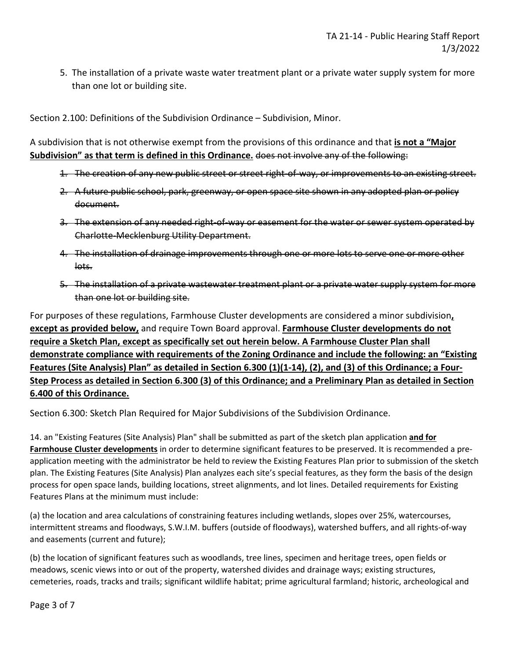5. The installation of a private waste water treatment plant or a private water supply system for more than one lot or building site.

Section 2.100: Definitions of the Subdivision Ordinance – Subdivision, Minor.

A subdivision that is not otherwise exempt from the provisions of this ordinance and that **is not a "Major Subdivision" as that term is defined in this Ordinance.** does not involve any of the following:

- 1. The creation of any new public street or street right-of-way, or improvements to an existing street.
- 2. A future public school, park, greenway, or open space site shown in any adopted plan or policy document.
- 3. The extension of any needed right-of-way or easement for the water or sewer system operated by Charlotte-Mecklenburg Utility Department.
- 4. The installation of drainage improvements through one or more lots to serve one or more other lots.
- 5. The installation of a private wastewater treatment plant or a private water supply system for more than one lot or building site.

For purposes of these regulations, Farmhouse Cluster developments are considered a minor subdivision**, except as provided below,** and require Town Board approval. **Farmhouse Cluster developments do not require a Sketch Plan, except as specifically set out herein below. A Farmhouse Cluster Plan shall demonstrate compliance with requirements of the Zoning Ordinance and include the following: an "Existing Features (Site Analysis) Plan" as detailed in Section 6.300 (1)(1-14), (2), and (3) of this Ordinance; a Four-Step Process as detailed in Section 6.300 (3) of this Ordinance; and a Preliminary Plan as detailed in Section 6.400 of this Ordinance.** 

Section 6.300: Sketch Plan Required for Major Subdivisions of the Subdivision Ordinance.

14. an "Existing Features (Site Analysis) Plan" shall be submitted as part of the sketch plan application **and for Farmhouse Cluster developments** in order to determine significant features to be preserved. It is recommended a preapplication meeting with the administrator be held to review the Existing Features Plan prior to submission of the sketch plan. The Existing Features (Site Analysis) Plan analyzes each site's special features, as they form the basis of the design process for open space lands, building locations, street alignments, and lot lines. Detailed requirements for Existing Features Plans at the minimum must include:

(a) the location and area calculations of constraining features including wetlands, slopes over 25%, watercourses, intermittent streams and floodways, S.W.I.M. buffers (outside of floodways), watershed buffers, and all rights-of-way and easements (current and future);

(b) the location of significant features such as woodlands, tree lines, specimen and heritage trees, open fields or meadows, scenic views into or out of the property, watershed divides and drainage ways; existing structures, cemeteries, roads, tracks and trails; significant wildlife habitat; prime agricultural farmland; historic, archeological and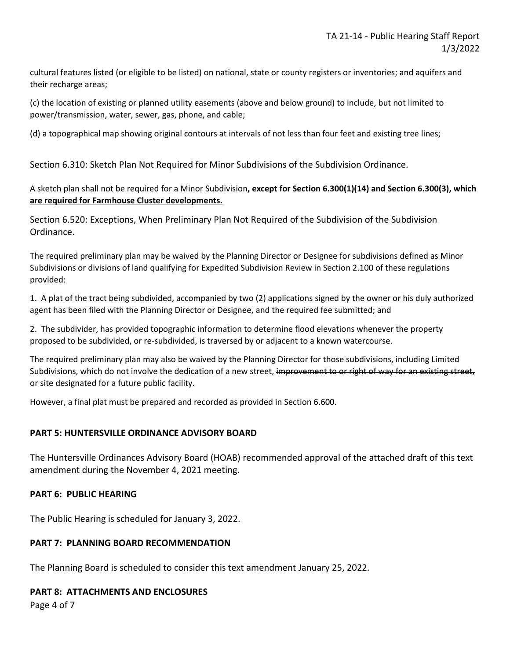cultural features listed (or eligible to be listed) on national, state or county registers or inventories; and aquifers and their recharge areas;

(c) the location of existing or planned utility easements (above and below ground) to include, but not limited to power/transmission, water, sewer, gas, phone, and cable;

(d) a topographical map showing original contours at intervals of not less than four feet and existing tree lines;

Section 6.310: Sketch Plan Not Required for Minor Subdivisions of the Subdivision Ordinance.

#### A sketch plan shall not be required for a Minor Subdivision**, except for Section 6.300(1)(14) and Section 6.300(3), which are required for Farmhouse Cluster developments.**

Section 6.520: Exceptions, When Preliminary Plan Not Required of the Subdivision of the Subdivision Ordinance.

The required preliminary plan may be waived by the Planning Director or Designee for subdivisions defined as Minor Subdivisions or divisions of land qualifying for Expedited Subdivision Review in Section 2.100 of these regulations provided:

1. A plat of the tract being subdivided, accompanied by two (2) applications signed by the owner or his duly authorized agent has been filed with the Planning Director or Designee, and the required fee submitted; and

2. The subdivider, has provided topographic information to determine flood elevations whenever the property proposed to be subdivided, or re-subdivided, is traversed by or adjacent to a known watercourse.

The required preliminary plan may also be waived by the Planning Director for those subdivisions, including Limited Subdivisions, which do not involve the dedication of a new street, improvement to or right of way for an existing street, or site designated for a future public facility.

However, a final plat must be prepared and recorded as provided in Section 6.600.

#### **PART 5: HUNTERSVILLE ORDINANCE ADVISORY BOARD**

The Huntersville Ordinances Advisory Board (HOAB) recommended approval of the attached draft of this text amendment during the November 4, 2021 meeting.

#### **PART 6: PUBLIC HEARING**

The Public Hearing is scheduled for January 3, 2022.

#### **PART 7: PLANNING BOARD RECOMMENDATION**

The Planning Board is scheduled to consider this text amendment January 25, 2022.

## **PART 8: ATTACHMENTS AND ENCLOSURES**

Page 4 of 7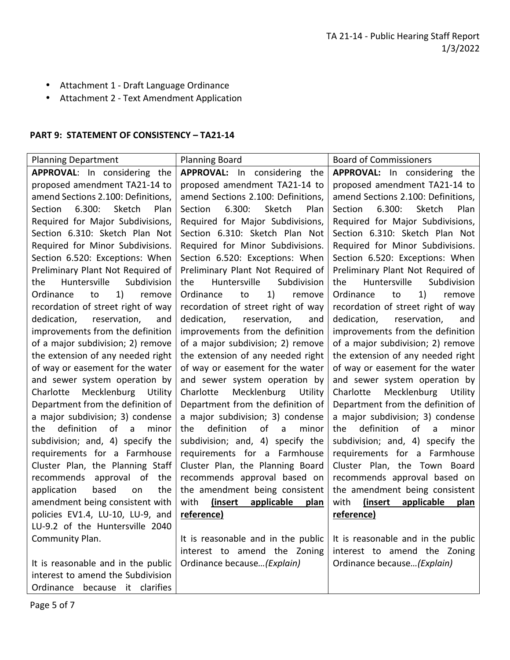- Attachment 1 Draft Language Ordinance
- Attachment 2 Text Amendment Application

#### **PART 9: STATEMENT OF CONSISTENCY – TA21-14**

| <b>Planning Department</b>            | <b>Planning Board</b>                      | <b>Board of Commissioners</b>          |
|---------------------------------------|--------------------------------------------|----------------------------------------|
| APPROVAL: In considering the          | APPROVAL: In considering the               | APPROVAL: In considering the           |
| proposed amendment TA21-14 to         | proposed amendment TA21-14 to              | proposed amendment TA21-14 to          |
| amend Sections 2.100: Definitions,    | amend Sections 2.100: Definitions,         | amend Sections 2.100: Definitions,     |
| 6.300:<br>Sketch<br>Plan<br>Section   | 6.300:<br>Sketch<br>Plan<br><b>Section</b> | 6.300:<br>Section<br>Sketch<br>Plan    |
| Required for Major Subdivisions,      | Required for Major Subdivisions,           | Required for Major Subdivisions,       |
| Section 6.310: Sketch Plan Not        | Section 6.310: Sketch Plan Not             | Section 6.310: Sketch Plan Not         |
| Required for Minor Subdivisions.      | Required for Minor Subdivisions.           | Required for Minor Subdivisions.       |
| Section 6.520: Exceptions: When       | Section 6.520: Exceptions: When            | Section 6.520: Exceptions: When        |
| Preliminary Plant Not Required of     | Preliminary Plant Not Required of          | Preliminary Plant Not Required of      |
| Huntersville<br>Subdivision<br>the    | Huntersville<br>Subdivision<br>the         | Huntersville<br>Subdivision<br>the     |
| Ordinance<br>1)<br>remove<br>to       | Ordinance<br>1)<br>to<br>remove            | Ordinance<br>1)<br>remove<br>to        |
| recordation of street right of way    | recordation of street right of way         | recordation of street right of way     |
| reservation,<br>dedication,<br>and    | reservation,<br>dedication,<br>and         | dedication,<br>reservation,<br>and     |
| improvements from the definition      | improvements from the definition           | improvements from the definition       |
| of a major subdivision; 2) remove     | of a major subdivision; 2) remove          | of a major subdivision; 2) remove      |
| the extension of any needed right     | the extension of any needed right          | the extension of any needed right      |
| of way or easement for the water      | of way or easement for the water           | of way or easement for the water       |
| and sewer system operation by         | and sewer system operation by              | and sewer system operation by          |
| Mecklenburg<br>Charlotte<br>Utility   | Mecklenburg<br>Charlotte<br>Utility        | Mecklenburg<br>Utility<br>Charlotte    |
| Department from the definition of     | Department from the definition of          | Department from the definition of      |
| a major subdivision; 3) condense      | a major subdivision; 3) condense           | a major subdivision; 3) condense       |
| definition<br>of<br>minor<br>the<br>a | definition<br>of<br>minor<br>the<br>a      | definition<br>of<br>minor<br>the<br>a  |
| subdivision; and, 4) specify the      | subdivision; and, 4) specify the           | subdivision; and, 4) specify the       |
| requirements for a Farmhouse          | requirements for a Farmhouse               | requirements for a Farmhouse           |
| Cluster Plan, the Planning Staff      | Cluster Plan, the Planning Board           | Cluster Plan, the Town Board           |
| approval of<br>the<br>recommends      | recommends approval based on               | recommends approval based on           |
| based<br>the<br>application<br>on     | the amendment being consistent             | the amendment being consistent         |
| amendment being consistent with       | applicable<br>with<br>(insert)<br>plan     | with<br>applicable<br>(insert)<br>plan |
| policies EV1.4, LU-10, LU-9, and      | reference)                                 | reference)                             |
| LU-9.2 of the Huntersville 2040       |                                            |                                        |
| Community Plan.                       | It is reasonable and in the public         | It is reasonable and in the public     |
|                                       | interest to amend the Zoning               | interest to amend the Zoning           |
| It is reasonable and in the public    | Ordinance because (Explain)                | Ordinance because (Explain)            |
| interest to amend the Subdivision     |                                            |                                        |
| Ordinance<br>because it clarifies     |                                            |                                        |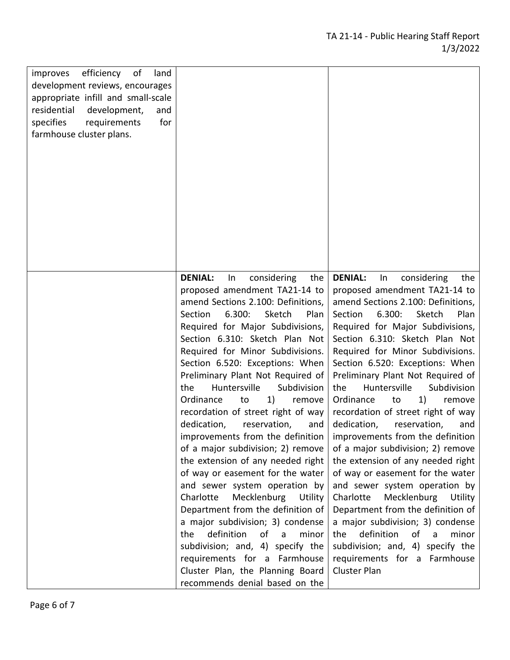| improves<br>efficiency of<br>land<br>development reviews, encourages<br>appropriate infill and small-scale<br>residential<br>development,<br>and<br>for<br>specifies<br>requirements<br>farmhouse cluster plans. |                                                                                                                                                                                                                                                                                                                                                                                                                                                                                                                                                                                                                                                                                                                                                                                                                                                                                                                                                |                                                                                                                                                                                                                                                                                                                                                                                                                                                                                                                                                                                                                                                                                                                                                                                                                                                                                                                                                                                              |
|------------------------------------------------------------------------------------------------------------------------------------------------------------------------------------------------------------------|------------------------------------------------------------------------------------------------------------------------------------------------------------------------------------------------------------------------------------------------------------------------------------------------------------------------------------------------------------------------------------------------------------------------------------------------------------------------------------------------------------------------------------------------------------------------------------------------------------------------------------------------------------------------------------------------------------------------------------------------------------------------------------------------------------------------------------------------------------------------------------------------------------------------------------------------|----------------------------------------------------------------------------------------------------------------------------------------------------------------------------------------------------------------------------------------------------------------------------------------------------------------------------------------------------------------------------------------------------------------------------------------------------------------------------------------------------------------------------------------------------------------------------------------------------------------------------------------------------------------------------------------------------------------------------------------------------------------------------------------------------------------------------------------------------------------------------------------------------------------------------------------------------------------------------------------------|
|                                                                                                                                                                                                                  | <b>DENIAL:</b><br>considering<br>the<br>In<br>proposed amendment TA21-14 to<br>amend Sections 2.100: Definitions,<br>6.300:<br>Section<br>Sketch<br>Plan<br>Required for Major Subdivisions,<br>Section 6.310: Sketch Plan Not<br>Required for Minor Subdivisions.<br>Section 6.520: Exceptions: When<br>Preliminary Plant Not Required of<br>Huntersville<br>Subdivision<br>the<br>1)<br>Ordinance<br>to<br>remove<br>recordation of street right of way<br>dedication,<br>reservation,<br>and<br>of a major subdivision; 2) remove<br>the extension of any needed right<br>of way or easement for the water<br>and sewer system operation by<br>Charlotte<br>Mecklenburg<br>Utility<br>Department from the definition of<br>a major subdivision; 3) condense<br>definition<br>of a<br>minor<br>the<br>subdivision; and, 4) specify the<br>requirements for a Farmhouse<br>Cluster Plan, the Planning Board<br>recommends denial based on the | <b>DENIAL:</b><br>considering<br>In<br>the<br>proposed amendment TA21-14 to<br>amend Sections 2.100: Definitions,<br>Section<br>6.300:<br>Sketch<br>Plan<br>Required for Major Subdivisions,<br>Section 6.310: Sketch Plan Not<br>Required for Minor Subdivisions.<br>Section 6.520: Exceptions: When<br>Preliminary Plant Not Required of<br>Huntersville<br>Subdivision<br>the<br>1)<br>Ordinance<br>to<br>remove<br>recordation of street right of way<br>dedication,<br>reservation,<br>and<br>improvements from the definition $\vert$ improvements from the definition<br>of a major subdivision; 2) remove<br>the extension of any needed right<br>of way or easement for the water<br>and sewer system operation by<br>Charlotte<br>Mecklenburg<br>Utility<br>Department from the definition of<br>a major subdivision; 3) condense<br>definition<br>minor<br>the<br>of<br>$\overline{a}$<br>subdivision; and, 4) specify the<br>requirements for a Farmhouse<br><b>Cluster Plan</b> |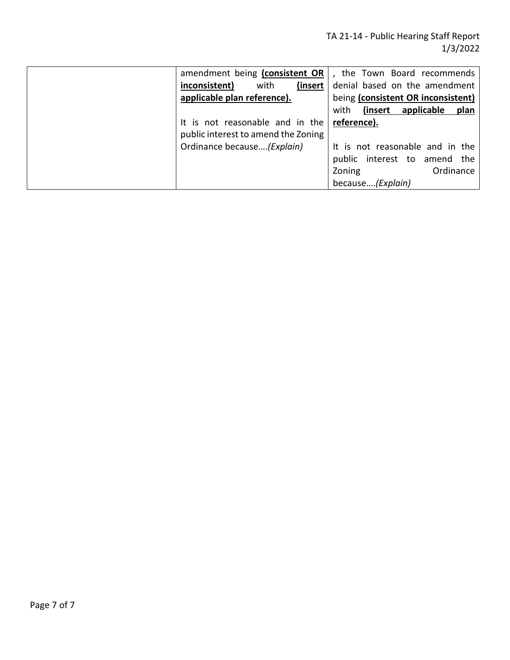| amendment being (consistent OR      | the Town Board recommends          |
|-------------------------------------|------------------------------------|
| inconsistent)<br>with<br>(insert    | denial based on the amendment      |
| applicable plan reference).         | being (consistent OR inconsistent) |
|                                     | (insert applicable<br>plan<br>with |
| It is not reasonable and in the     | reference).                        |
| public interest to amend the Zoning |                                    |
| Ordinance because(Explain)          | It is not reasonable and in the    |
|                                     | public interest to amend the       |
|                                     | Zoning<br>Ordinance                |
|                                     | because(Explain)                   |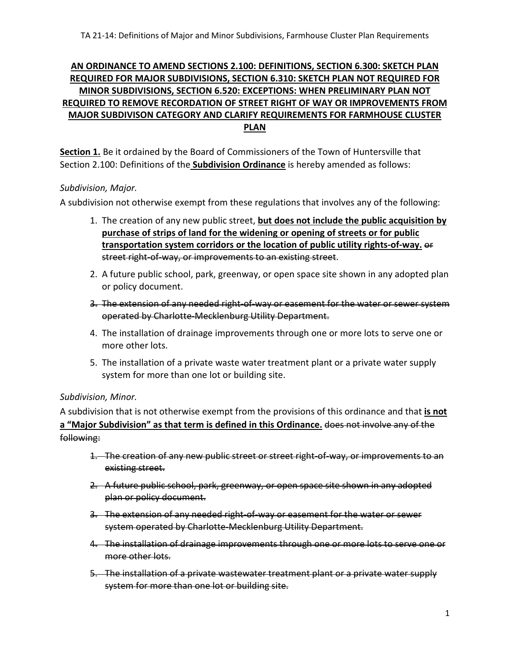## **AN ORDINANCE TO AMEND SECTIONS 2.100: DEFINITIONS, SECTION 6.300: SKETCH PLAN REQUIRED FOR MAJOR SUBDIVISIONS, SECTION 6.310: SKETCH PLAN NOT REQUIRED FOR MINOR SUBDIVISIONS, SECTION 6.520: EXCEPTIONS: WHEN PRELIMINARY PLAN NOT REQUIRED TO REMOVE RECORDATION OF STREET RIGHT OF WAY OR IMPROVEMENTS FROM MAJOR SUBDIVISON CATEGORY AND CLARIFY REQUIREMENTS FOR FARMHOUSE CLUSTER PLAN**

**Section 1.** Be it ordained by the Board of Commissioners of the Town of Huntersville that Section 2.100: Definitions of the **Subdivision Ordinance** is hereby amended as follows:

## *Subdivision, Major.*

A subdivision not otherwise exempt from these regulations that involves any of the following:

- 1. The creation of any new public street, **but does not include the public acquisition by purchase of strips of land for the widening or opening of streets or for public transportation system corridors or the location of public utility rights-of-way.** or street right-of-way, or improvements to an existing street.
- 2. A future public school, park, greenway, or open space site shown in any adopted plan or policy document.
- 3. The extension of any needed right-of-way or easement for the water or sewer system operated by Charlotte-Mecklenburg Utility Department.
- 4. The installation of drainage improvements through one or more lots to serve one or more other lots.
- 5. The installation of a private waste water treatment plant or a private water supply system for more than one lot or building site.

## *Subdivision, Minor.*

A subdivision that is not otherwise exempt from the provisions of this ordinance and that **is not a "Major Subdivision" as that term is defined in this Ordinance.** does not involve any of the following:

- 1. The creation of any new public street or street right-of-way, or improvements to an existing street.
- 2. A future public school, park, greenway, or open space site shown in any adopted plan or policy document.
- 3. The extension of any needed right-of-way or easement for the water or sewer system operated by Charlotte-Mecklenburg Utility Department.
- 4. The installation of drainage improvements through one or more lots to serve one or more other lots.
- 5. The installation of a private wastewater treatment plant or a private water supply system for more than one lot or building site.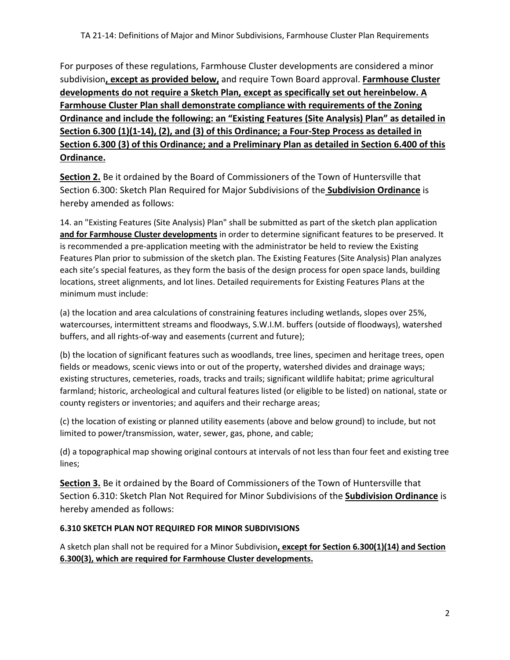For purposes of these regulations, Farmhouse Cluster developments are considered a minor subdivision**, except as provided below,** and require Town Board approval. **Farmhouse Cluster developments do not require a Sketch Plan, except as specifically set out hereinbelow. A Farmhouse Cluster Plan shall demonstrate compliance with requirements of the Zoning Ordinance and include the following: an "Existing Features (Site Analysis) Plan" as detailed in Section 6.300 (1)(1-14), (2), and (3) of this Ordinance; a Four-Step Process as detailed in Section 6.300 (3) of this Ordinance; and a Preliminary Plan as detailed in Section 6.400 of this Ordinance.** 

**Section 2.** Be it ordained by the Board of Commissioners of the Town of Huntersville that Section 6.300: Sketch Plan Required for Major Subdivisions of the **Subdivision Ordinance** is hereby amended as follows:

14. an "Existing Features (Site Analysis) Plan" shall be submitted as part of the sketch plan application **and for Farmhouse Cluster developments** in order to determine significant features to be preserved. It is recommended a pre-application meeting with the administrator be held to review the Existing Features Plan prior to submission of the sketch plan. The Existing Features (Site Analysis) Plan analyzes each site's special features, as they form the basis of the design process for open space lands, building locations, street alignments, and lot lines. Detailed requirements for Existing Features Plans at the minimum must include:

(a) the location and area calculations of constraining features including wetlands, slopes over 25%, watercourses, intermittent streams and floodways, S.W.I.M. buffers (outside of floodways), watershed buffers, and all rights-of-way and easements (current and future);

(b) the location of significant features such as woodlands, tree lines, specimen and heritage trees, open fields or meadows, scenic views into or out of the property, watershed divides and drainage ways; existing structures, cemeteries, roads, tracks and trails; significant wildlife habitat; prime agricultural farmland; historic, archeological and cultural features listed (or eligible to be listed) on national, state or county registers or inventories; and aquifers and their recharge areas;

(c) the location of existing or planned utility easements (above and below ground) to include, but not limited to power/transmission, water, sewer, gas, phone, and cable;

(d) a topographical map showing original contours at intervals of not less than four feet and existing tree lines;

**Section 3.** Be it ordained by the Board of Commissioners of the Town of Huntersville that Section 6.310: Sketch Plan Not Required for Minor Subdivisions of the **Subdivision Ordinance** is hereby amended as follows:

## **6.310 SKETCH PLAN NOT REQUIRED FOR MINOR SUBDIVISIONS**

A sketch plan shall not be required for a Minor Subdivision**, except for Section 6.300(1)(14) and Section 6.300(3), which are required for Farmhouse Cluster developments.**